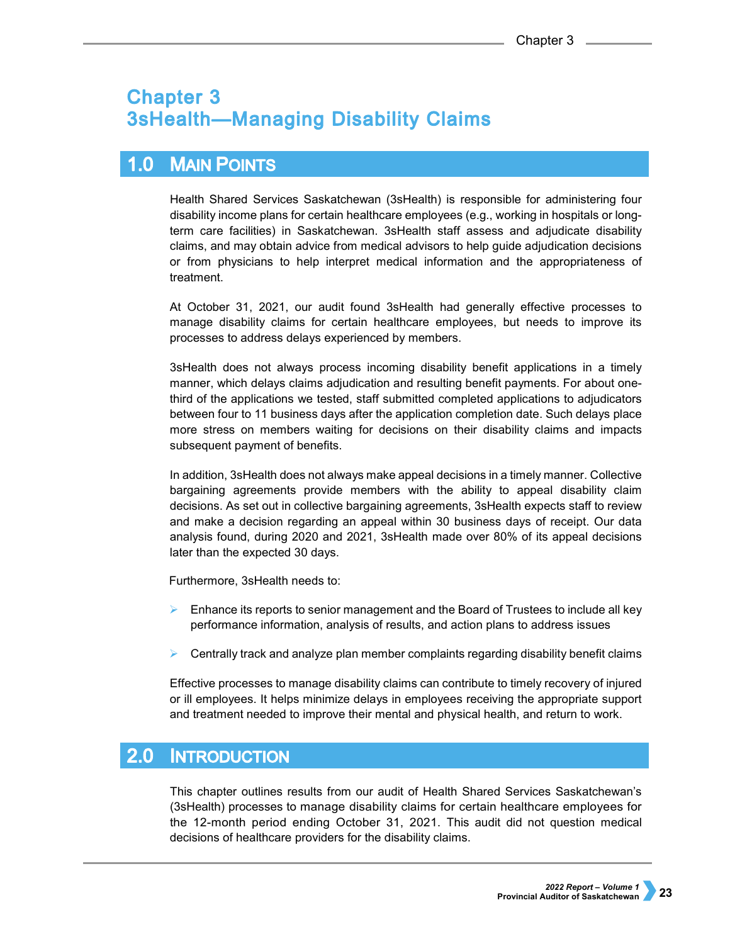# **Chapter 3 3sHealth-Managing Disability Claims**

### $1.0$ **MAIN POINTS**

Health Shared Services Saskatchewan (3sHealth) is responsible for administering four disability income plans for certain healthcare employees (e.g., working in hospitals or longterm care facilities) in Saskatchewan. 3sHealth staff assess and adjudicate disability claims, and may obtain advice from medical advisors to help guide adjudication decisions or from physicians to help interpret medical information and the appropriateness of treatment.

At October 31, 2021, our audit found 3sHealth had generally effective processes to manage disability claims for certain healthcare employees, but needs to improve its processes to address delays experienced by members.

3sHealth does not always process incoming disability benefit applications in a timely manner, which delays claims adjudication and resulting benefit payments. For about onethird of the applications we tested, staff submitted completed applications to adjudicators between four to 11 business days after the application completion date. Such delays place more stress on members waiting for decisions on their disability claims and impacts subsequent payment of benefits.

In addition, 3sHealth does not always make appeal decisions in a timely manner. Collective bargaining agreements provide members with the ability to appeal disability claim decisions. As set out in collective bargaining agreements, 3sHealth expects staff to review and make a decision regarding an appeal within 30 business days of receipt. Our data analysis found, during 2020 and 2021, 3sHealth made over 80% of its appeal decisions later than the expected 30 days.

Furthermore, 3sHealth needs to:

- $\triangleright$  Enhance its reports to senior management and the Board of Trustees to include all key performance information, analysis of results, and action plans to address issues
- Centrally track and analyze plan member complaints regarding disability benefit claims

Effective processes to manage disability claims can contribute to timely recovery of injured or ill employees. It helps minimize delays in employees receiving the appropriate support and treatment needed to improve their mental and physical health, and return to work.

#### $2.0<sub>1</sub>$ **INTRODUCTION**

This chapter outlines results from our audit of Health Shared Services Saskatchewan's (3sHealth) processes to manage disability claims for certain healthcare employees for the 12-month period ending October 31, 2021. This audit did not question medical decisions of healthcare providers for the disability claims.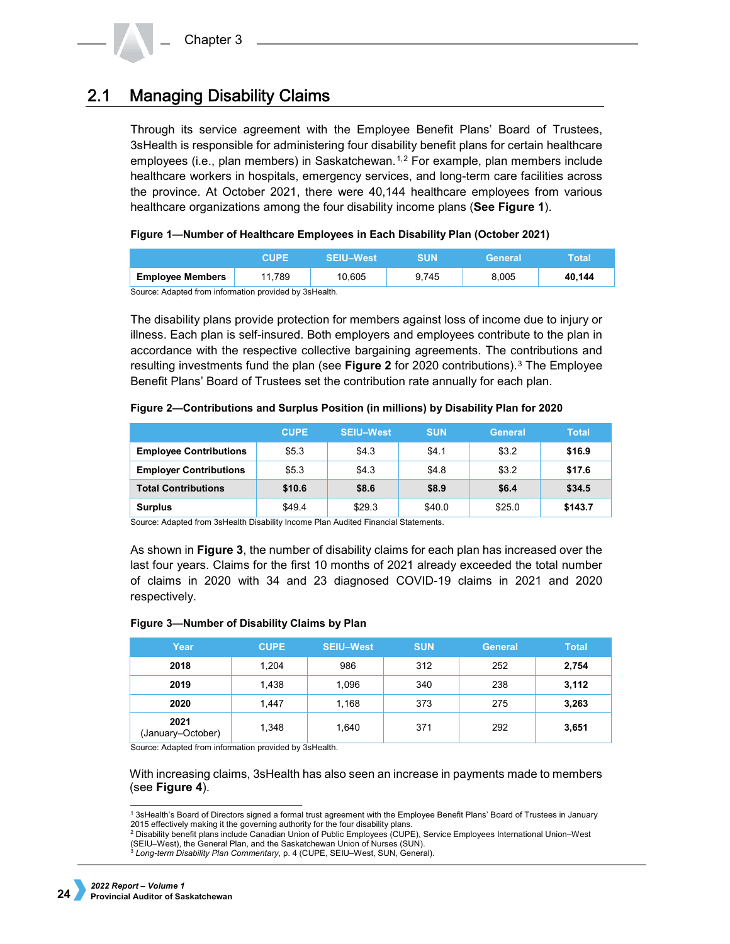#### **Managing Disability Claims**  $2.1$

Through its service agreement with the Employee Benefit Plans' Board of Trustees, 3sHealth is responsible for administering four disability benefit plans for certain healthcare employees (i.e., plan members) in Saskatchewan.<sup>[1](#page-1-0),[2](#page-1-1)</sup> For example, plan members include healthcare workers in hospitals, emergency services, and long-term care facilities across the province. At October 2021, there were 40,144 healthcare employees from various healthcare organizations among the four disability income plans (**See Figure 1**).

**Figure 1—Number of Healthcare Employees in Each Disability Plan (October 2021)**

|                                                        | CHPF   | <b>SEIU-West</b> | SUN   | General | Total  |  |
|--------------------------------------------------------|--------|------------------|-------|---------|--------|--|
| <b>Employee Members</b>                                | 11.789 | 10.605           | 9.745 | 8.005   | 40.144 |  |
| Course: Adopted from information provided by 20 Hoolth |        |                  |       |         |        |  |

Source: Adapted from information provided by 3sHealth.

The disability plans provide protection for members against loss of income due to injury or illness. Each plan is self-insured. Both employers and employees contribute to the plan in accordance with the respective collective bargaining agreements. The contributions and resulting investments fund the plan (see **Figure 2** for 2020 contributions).[3](#page-1-2) The Employee Benefit Plans' Board of Trustees set the contribution rate annually for each plan.

|                               | <b>CUPE</b> | <b>SEIU-West</b> | <b>SUN</b> | <b>General</b> | Total   |
|-------------------------------|-------------|------------------|------------|----------------|---------|
| <b>Employee Contributions</b> | \$5.3       | \$4.3            | \$4.1      | \$3.2          | \$16.9  |
| <b>Employer Contributions</b> | \$5.3       | \$4.3            | \$4.8      | \$3.2          | \$17.6  |
| <b>Total Contributions</b>    | \$10.6      | \$8.6            | \$8.9      | \$6.4          | \$34.5  |
| <b>Surplus</b>                | \$49.4      | \$29.3           | \$40.0     | \$25.0         | \$143.7 |

Source: Adapted from 3sHealth Disability Income Plan Audited Financial Statements.

As shown in **Figure 3**, the number of disability claims for each plan has increased over the last four years. Claims for the first 10 months of 2021 already exceeded the total number of claims in 2020 with 34 and 23 diagnosed COVID-19 claims in 2021 and 2020 respectively.

### **Figure 3—Number of Disability Claims by Plan**

| Year                      | <b>CUPE</b> | <b>SEIU-West</b> | <b>SUN</b> | <b>General</b> | <b>Total</b> |
|---------------------------|-------------|------------------|------------|----------------|--------------|
| 2018                      | 1,204       | 986              | 312        | 252            | 2,754        |
| 2019                      | 1,438       | 1,096            | 340        | 238            | 3,112        |
| 2020                      | 1,447       | 1,168            | 373        | 275            | 3,263        |
| 2021<br>(January-October) | 1,348       | 1,640            | 371        | 292            | 3,651        |

Source: Adapted from information provided by 3sHealth.

With increasing claims, 3sHealth has also seen an increase in payments made to members (see **Figure 4**).

<sup>-</sup>1 3sHealth's Board of Directors signed a formal trust agreement with the Employee Benefit Plans' Board of Trustees in January 2015 effectively making it the governing authority for the four disability plans.

<span id="page-1-2"></span><span id="page-1-1"></span><span id="page-1-0"></span><sup>2</sup> Disability benefit plans include Canadian Union of Public Employees (CUPE), Service Employees International Union–West (SEIU–West), the General Plan, and the Saskatchewan Union of Nurses (SUN).

<sup>3</sup> *Long-term Disability Plan Commentary*, p. 4 (CUPE, SEIU–West, SUN, General).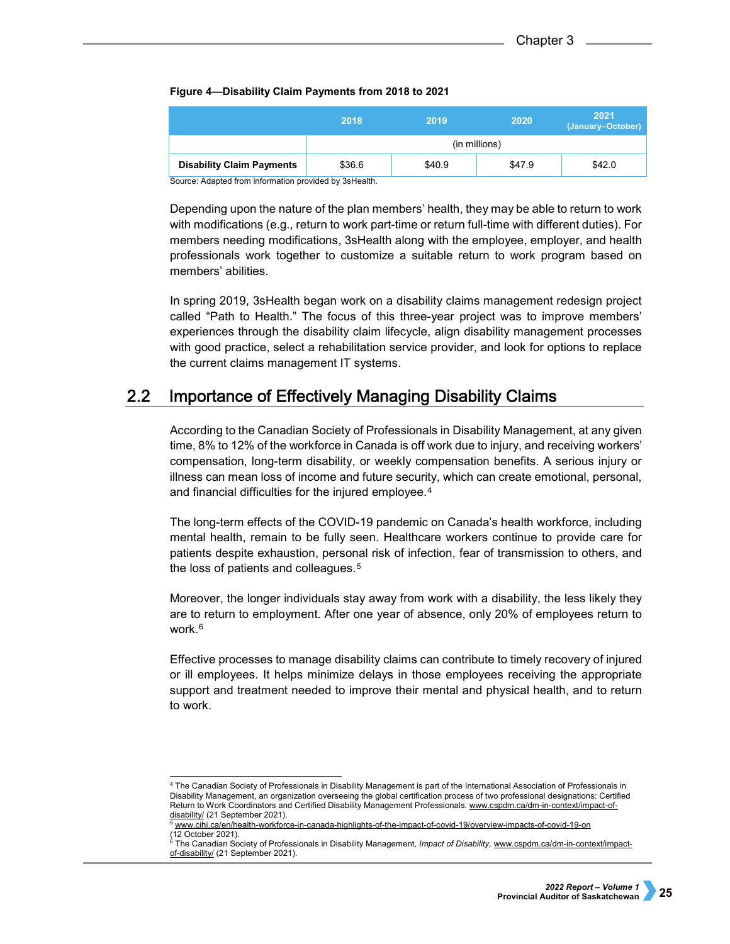## **Figure 4—Disability Claim Payments from 2018 to 2021**

|                                  | 2018          | 2019   | 2020   | 2021<br>(January-October) |  |  |  |
|----------------------------------|---------------|--------|--------|---------------------------|--|--|--|
|                                  | (in millions) |        |        |                           |  |  |  |
| <b>Disability Claim Payments</b> | \$36.6        | \$40.9 | \$47.9 | \$42.0                    |  |  |  |

Source: Adapted from information provided by 3sHealth.

Depending upon the nature of the plan members' health, they may be able to return to work with modifications (e.g., return to work part-time or return full-time with different duties). For members needing modifications, 3sHealth along with the employee, employer, and health professionals work together to customize a suitable return to work program based on members' abilities.

In spring 2019, 3sHealth began work on a disability claims management redesign project called "Path to Health." The focus of this three-year project was to improve members' experiences through the disability claim lifecycle, align disability management processes with good practice, select a rehabilitation service provider, and look for options to replace the current claims management IT systems.

#### $2.2<sub>2</sub>$ **Importance of Effectively Managing Disability Claims**

According to the Canadian Society of Professionals in Disability Management, at any given time, 8% to 12% of the workforce in Canada is off work due to injury, and receiving workers' compensation, long-term disability, or weekly compensation benefits. A serious injury or illness can mean loss of income and future security, which can create emotional, personal, and financial difficulties for the injured employee.<sup>[4](#page-2-0)</sup>

The long-term effects of the COVID-19 pandemic on Canada's health workforce, including mental health, remain to be fully seen. Healthcare workers continue to provide care for patients despite exhaustion, personal risk of infection, fear of transmission to others, and the loss of patients and colleagues.<sup>[5](#page-2-1)</sup>

Moreover, the longer individuals stay away from work with a disability, the less likely they are to return to employment. After one year of absence, only 20% of employees return to work.<sup>[6](#page-2-2)</sup>

Effective processes to manage disability claims can contribute to timely recovery of injured or ill employees. It helps minimize delays in those employees receiving the appropriate support and treatment needed to improve their mental and physical health, and to return to work.

<span id="page-2-0"></span> <sup>4</sup> The Canadian Society of Professionals in Disability Management is part of the International Association of Professionals in Disability Management, an organization overseeing the global certification process of two professional designations: Certified Return to Work Coordinators and Certified Disability Management Professionals. [www.cspdm.ca/dm-in-context/impact-of](http://www.cspdm.ca/dm-in-context/impact-of-disability/)[disability/](http://www.cspdm.ca/dm-in-context/impact-of-disability/) (21 September 2021).

<span id="page-2-1"></span><sup>5</sup> [www.cihi.ca/en/health-workforce-in-canada-highlights-of-the-impact-of-covid-19/overview-impacts-of-covid-19-on](http://www.cihi.ca/en/health-workforce-in-canada-highlights-of-the-impact-of-covid-19/overview-impacts-of-covid-19-on) (12 October 2021).

<span id="page-2-2"></span><sup>6</sup> The Canadian Society of Professionals in Disability Management, *Impact of Disability,* [www.cspdm.ca/dm-in-context/impact](http://www.cspdm.ca/dm-in-context/impact-of-disability/)[of-disability/](http://www.cspdm.ca/dm-in-context/impact-of-disability/) (21 September 2021).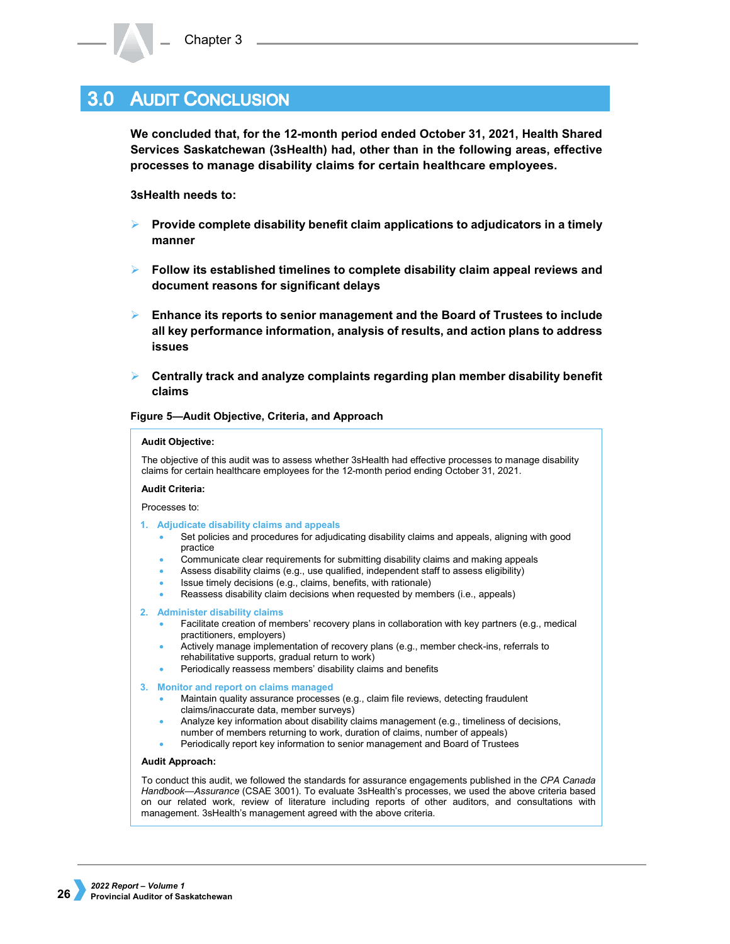# **3.0 AUDIT CONCLUSION**

**We concluded that, for the 12-month period ended October 31, 2021, Health Shared Services Saskatchewan (3sHealth) had, other than in the following areas, effective processes to manage disability claims for certain healthcare employees.**

**3sHealth needs to:**

- **Provide complete disability benefit claim applications to adjudicators in a timely manner**
- **Follow its established timelines to complete disability claim appeal reviews and document reasons for significant delays**
- **Enhance its reports to senior management and the Board of Trustees to include all key performance information, analysis of results, and action plans to address issues**
- **Centrally track and analyze complaints regarding plan member disability benefit claims**

**Figure 5—Audit Objective, Criteria, and Approach**

### **Audit Objective:**

The objective of this audit was to assess whether 3sHealth had effective processes to manage disability claims for certain healthcare employees for the 12-month period ending October 31, 2021.

### **Audit Criteria:**

Processes to:

- **1. Adjudicate disability claims and appeals**
	- Set policies and procedures for adjudicating disability claims and appeals, aligning with good practice
	- Communicate clear requirements for submitting disability claims and making appeals
	- Assess disability claims (e.g., use qualified, independent staff to assess eligibility)
	- Issue timely decisions (e.g., claims, benefits, with rationale)
	- Reassess disability claim decisions when requested by members (i.e., appeals)
- **2. Administer disability claims**
	- Facilitate creation of members' recovery plans in collaboration with key partners (e.g., medical practitioners, employers)
	- Actively manage implementation of recovery plans (e.g., member check-ins, referrals to rehabilitative supports, gradual return to work)
	- Periodically reassess members' disability claims and benefits

**3. Monitor and report on claims managed**

- Maintain quality assurance processes (e.g., claim file reviews, detecting fraudulent claims/inaccurate data, member surveys)
	- Analyze key information about disability claims management (e.g., timeliness of decisions,
- number of members returning to work, duration of claims, number of appeals)
- Periodically report key information to senior management and Board of Trustees

### **Audit Approach:**

To conduct this audit, we followed the standards for assurance engagements published in the *CPA Canada Handbook—Assurance* (CSAE 3001). To evaluate 3sHealth's processes, we used the above criteria based on our related work, review of literature including reports of other auditors, and consultations with management. 3sHealth's management agreed with the above criteria.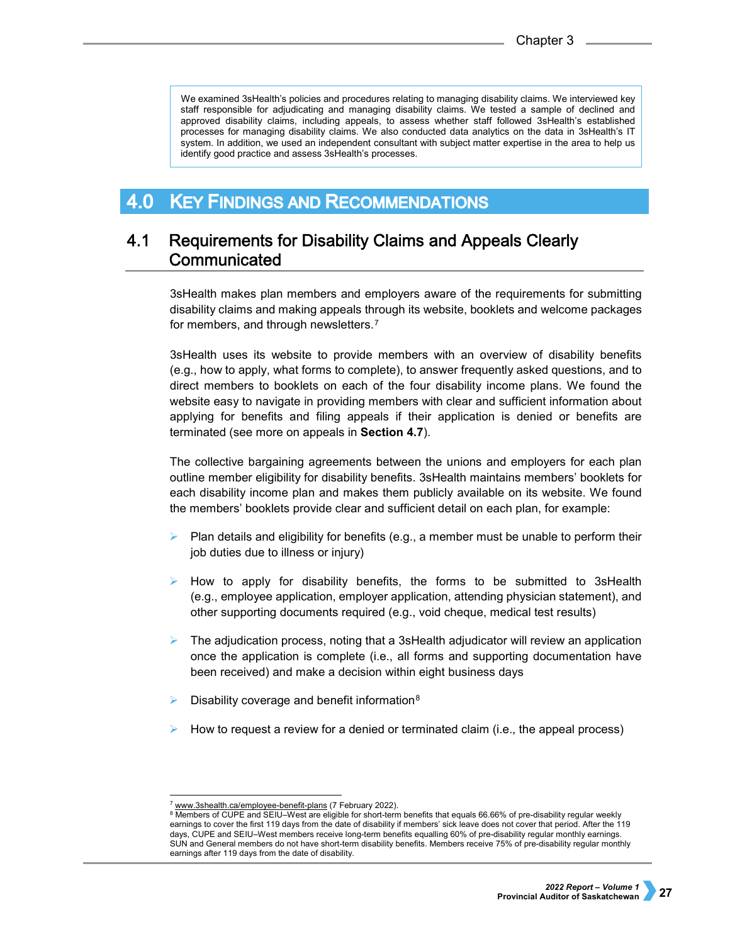We examined 3sHealth's policies and procedures relating to managing disability claims. We interviewed key staff responsible for adjudicating and managing disability claims. We tested a sample of declined and approved disability claims, including appeals, to assess whether staff followed 3sHealth's established processes for managing disability claims. We also conducted data analytics on the data in 3sHealth's IT system. In addition, we used an independent consultant with subject matter expertise in the area to help us identify good practice and assess 3sHealth's processes.

#### **KEY FINDINGS AND RECOMMENDATIONS**  $4.0<sub>1</sub>$

### $4.1$ **Requirements for Disability Claims and Appeals Clearly** Communicated

3sHealth makes plan members and employers aware of the requirements for submitting disability claims and making appeals through its website, booklets and welcome packages for members, and through newsletters.<sup>[7](#page-4-0)</sup>

3sHealth uses its website to provide members with an overview of disability benefits (e.g., how to apply, what forms to complete), to answer frequently asked questions, and to direct members to booklets on each of the four disability income plans. We found the website easy to navigate in providing members with clear and sufficient information about applying for benefits and filing appeals if their application is denied or benefits are terminated (see more on appeals in **Section 4.7**).

The collective bargaining agreements between the unions and employers for each plan outline member eligibility for disability benefits. 3sHealth maintains members' booklets for each disability income plan and makes them publicly available on its website. We found the members' booklets provide clear and sufficient detail on each plan, for example:

- Plan details and eligibility for benefits (e.g., a member must be unable to perform their job duties due to illness or injury)
- $\triangleright$  How to apply for disability benefits, the forms to be submitted to 3sHealth (e.g., employee application, employer application, attending physician statement), and other supporting documents required (e.g., void cheque, medical test results)
- $\triangleright$  The adjudication process, noting that a 3sHealth adjudicator will review an application once the application is complete (i.e., all forms and supporting documentation have been received) and make a decision within eight business days
- Disability coverage and benefit information[8](#page-4-1)
- How to request a review for a denied or terminated claim (i.e., the appeal process)

l [www.3shealth.ca/employee-benefit-plans](http://www.3shealth.ca/employee-benefit-plans) (7 February 2022).

<span id="page-4-1"></span><span id="page-4-0"></span><sup>8</sup> Members of CUPE and SEIU–West are eligible for short-term benefits that equals 66.66% of pre-disability regular weekly earnings to cover the first 119 days from the date of disability if members' sick leave does not cover that period. After the 119 days, CUPE and SEIU–West members receive long-term benefits equalling 60% of pre-disability regular monthly earnings. SUN and General members do not have short-term disability benefits. Members receive 75% of pre-disability regular monthly earnings after 119 days from the date of disability.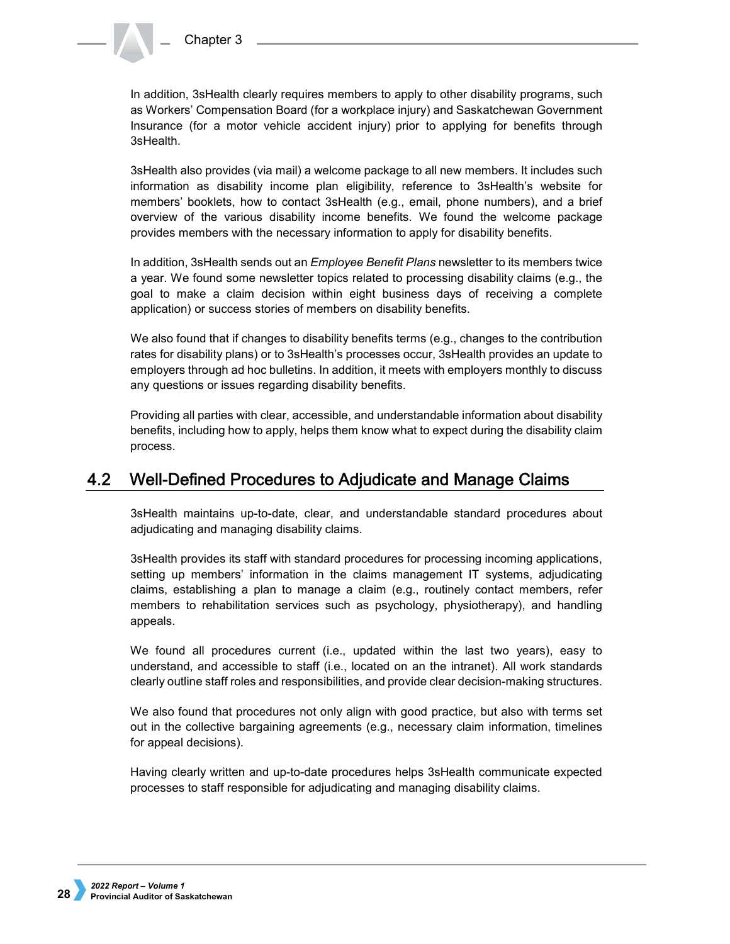In addition, 3sHealth clearly requires members to apply to other disability programs, such as Workers' Compensation Board (for a workplace injury) and Saskatchewan Government Insurance (for a motor vehicle accident injury) prior to applying for benefits through 3sHealth.

3sHealth also provides (via mail) a welcome package to all new members. It includes such information as disability income plan eligibility, reference to 3sHealth's website for members' booklets, how to contact 3sHealth (e.g., email, phone numbers), and a brief overview of the various disability income benefits. We found the welcome package provides members with the necessary information to apply for disability benefits.

In addition, 3sHealth sends out an *Employee Benefit Plans* newsletter to its members twice a year. We found some newsletter topics related to processing disability claims (e.g., the goal to make a claim decision within eight business days of receiving a complete application) or success stories of members on disability benefits.

We also found that if changes to disability benefits terms (e.g., changes to the contribution rates for disability plans) or to 3sHealth's processes occur, 3sHealth provides an update to employers through ad hoc bulletins. In addition, it meets with employers monthly to discuss any questions or issues regarding disability benefits.

Providing all parties with clear, accessible, and understandable information about disability benefits, including how to apply, helps them know what to expect during the disability claim process.

#### Well-Defined Procedures to Adjudicate and Manage Claims  $4.2$

3sHealth maintains up-to-date, clear, and understandable standard procedures about adjudicating and managing disability claims.

3sHealth provides its staff with standard procedures for processing incoming applications, setting up members' information in the claims management IT systems, adjudicating claims, establishing a plan to manage a claim (e.g., routinely contact members, refer members to rehabilitation services such as psychology, physiotherapy), and handling appeals.

We found all procedures current (i.e., updated within the last two years), easy to understand, and accessible to staff (i.e., located on an the intranet). All work standards clearly outline staff roles and responsibilities, and provide clear decision-making structures.

We also found that procedures not only align with good practice, but also with terms set out in the collective bargaining agreements (e.g., necessary claim information, timelines for appeal decisions).

Having clearly written and up-to-date procedures helps 3sHealth communicate expected processes to staff responsible for adjudicating and managing disability claims.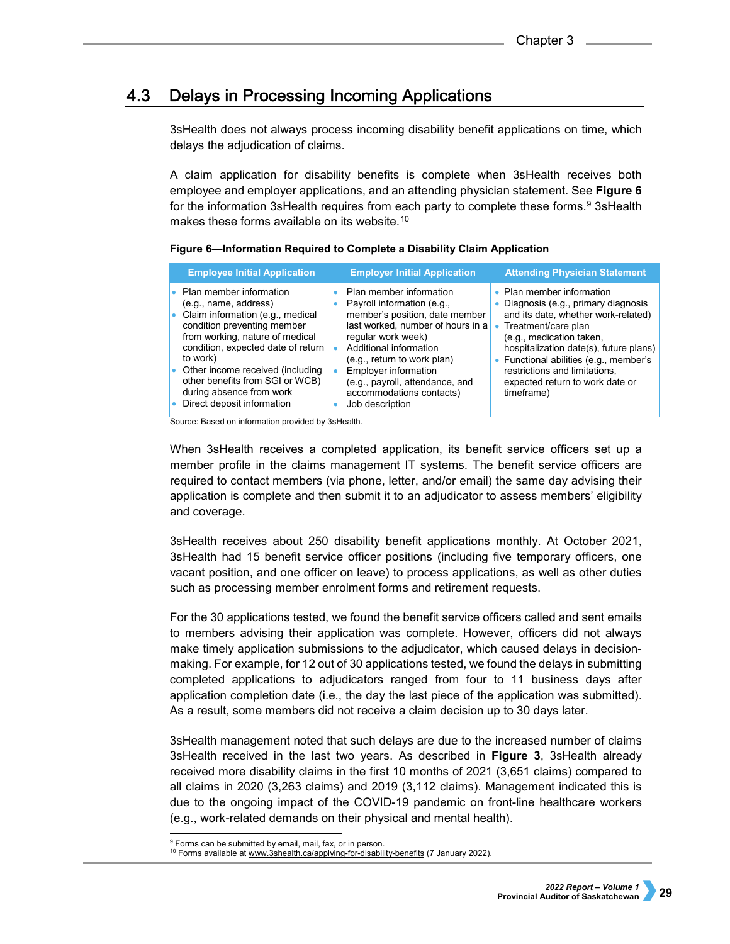#### **Delays in Processing Incoming Applications**  $4.3$

3sHealth does not always process incoming disability benefit applications on time, which delays the adjudication of claims.

A claim application for disability benefits is complete when 3sHealth receives both employee and employer applications, and an attending physician statement. See **Figure 6** for the information 3sHealth requires from each party to complete these forms.<sup>9</sup> 3sHealth makes these forms available on its website.<sup>[10](#page-6-1)</sup>

| Figure 6-Information Required to Complete a Disability Claim Application |  |  |  |
|--------------------------------------------------------------------------|--|--|--|

| <b>Employee Initial Application</b>                                                                                                                                                                                                                                                                                                               | <b>Employer Initial Application</b>                                                                                                                                                                                                                                                                                          | <b>Attending Physician Statement</b>                                                                                                                                                                                                                                                                                            |
|---------------------------------------------------------------------------------------------------------------------------------------------------------------------------------------------------------------------------------------------------------------------------------------------------------------------------------------------------|------------------------------------------------------------------------------------------------------------------------------------------------------------------------------------------------------------------------------------------------------------------------------------------------------------------------------|---------------------------------------------------------------------------------------------------------------------------------------------------------------------------------------------------------------------------------------------------------------------------------------------------------------------------------|
| • Plan member information<br>(e.g., name, address)<br>• Claim information (e.g., medical<br>condition preventing member<br>from working, nature of medical<br>condition, expected date of return<br>to work)<br>• Other income received (including<br>other benefits from SGI or WCB)<br>during absence from work<br>• Direct deposit information | Plan member information<br>Payroll information (e.g.,<br>member's position, date member<br>last worked, number of hours in a<br>regular work week)<br>Additional information<br>(e.g., return to work plan)<br><b>Employer information</b><br>(e.g., payroll, attendance, and<br>accommodations contacts)<br>Job description | • Plan member information<br>Diagnosis (e.g., primary diagnosis<br>and its date, whether work-related)<br>Treatment/care plan<br>(e.g., medication taken,<br>hospitalization date(s), future plans)<br>• Functional abilities (e.g., member's<br>restrictions and limitations,<br>expected return to work date or<br>timeframe) |

Source: Based on information provided by 3sHealth.

When 3sHealth receives a completed application, its benefit service officers set up a member profile in the claims management IT systems. The benefit service officers are required to contact members (via phone, letter, and/or email) the same day advising their application is complete and then submit it to an adjudicator to assess members' eligibility and coverage.

3sHealth receives about 250 disability benefit applications monthly. At October 2021, 3sHealth had 15 benefit service officer positions (including five temporary officers, one vacant position, and one officer on leave) to process applications, as well as other duties such as processing member enrolment forms and retirement requests.

For the 30 applications tested, we found the benefit service officers called and sent emails to members advising their application was complete. However, officers did not always make timely application submissions to the adjudicator, which caused delays in decisionmaking. For example, for 12 out of 30 applications tested, we found the delays in submitting completed applications to adjudicators ranged from four to 11 business days after application completion date (i.e., the day the last piece of the application was submitted). As a result, some members did not receive a claim decision up to 30 days later.

3sHealth management noted that such delays are due to the increased number of claims 3sHealth received in the last two years. As described in **Figure 3**, 3sHealth already received more disability claims in the first 10 months of 2021 (3,651 claims) compared to all claims in 2020 (3,263 claims) and 2019 (3,112 claims). Management indicated this is due to the ongoing impact of the COVID-19 pandemic on front-line healthcare workers (e.g., work-related demands on their physical and mental health).

<sup>&</sup>lt;sub>9</sub><br>Porms can be submitted by email, mail, fax, or in person.

<span id="page-6-1"></span><span id="page-6-0"></span><sup>&</sup>lt;sup>10</sup> Forms available a[t www.3shealth.ca/applying-for-disability-benefits](http://www.3shealth.ca/applying-for-disability-benefits) (7 January 2022).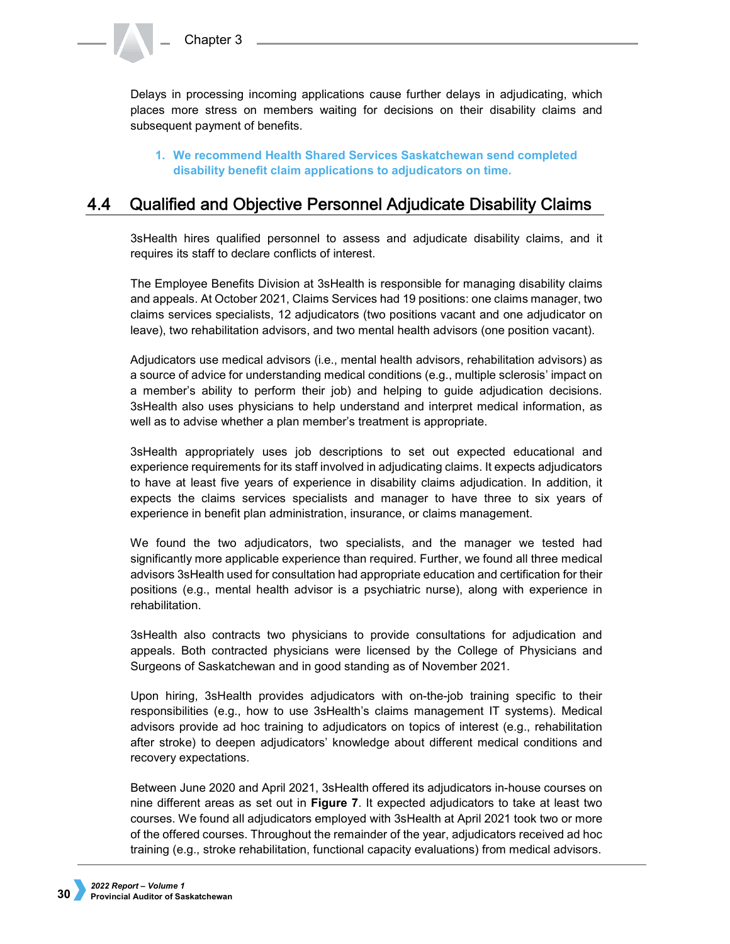Delays in processing incoming applications cause further delays in adjudicating, which places more stress on members waiting for decisions on their disability claims and subsequent payment of benefits.

## **1. We recommend Health Shared Services Saskatchewan send completed disability benefit claim applications to adjudicators on time.**

#### 4.4 Qualified and Objective Personnel Adjudicate Disability Claims

3sHealth hires qualified personnel to assess and adjudicate disability claims, and it requires its staff to declare conflicts of interest.

The Employee Benefits Division at 3sHealth is responsible for managing disability claims and appeals. At October 2021, Claims Services had 19 positions: one claims manager, two claims services specialists, 12 adjudicators (two positions vacant and one adjudicator on leave), two rehabilitation advisors, and two mental health advisors (one position vacant).

Adjudicators use medical advisors (i.e., mental health advisors, rehabilitation advisors) as a source of advice for understanding medical conditions (e.g., multiple sclerosis' impact on a member's ability to perform their job) and helping to guide adjudication decisions. 3sHealth also uses physicians to help understand and interpret medical information, as well as to advise whether a plan member's treatment is appropriate.

3sHealth appropriately uses job descriptions to set out expected educational and experience requirements for its staff involved in adjudicating claims. It expects adjudicators to have at least five years of experience in disability claims adjudication. In addition, it expects the claims services specialists and manager to have three to six years of experience in benefit plan administration, insurance, or claims management.

We found the two adjudicators, two specialists, and the manager we tested had significantly more applicable experience than required. Further, we found all three medical advisors 3sHealth used for consultation had appropriate education and certification for their positions (e.g., mental health advisor is a psychiatric nurse), along with experience in rehabilitation.

3sHealth also contracts two physicians to provide consultations for adjudication and appeals. Both contracted physicians were licensed by the College of Physicians and Surgeons of Saskatchewan and in good standing as of November 2021.

Upon hiring, 3sHealth provides adjudicators with on-the-job training specific to their responsibilities (e.g., how to use 3sHealth's claims management IT systems). Medical advisors provide ad hoc training to adjudicators on topics of interest (e.g., rehabilitation after stroke) to deepen adjudicators' knowledge about different medical conditions and recovery expectations.

Between June 2020 and April 2021, 3sHealth offered its adjudicators in-house courses on nine different areas as set out in **Figure 7**. It expected adjudicators to take at least two courses. We found all adjudicators employed with 3sHealth at April 2021 took two or more of the offered courses. Throughout the remainder of the year, adjudicators received ad hoc training (e.g., stroke rehabilitation, functional capacity evaluations) from medical advisors.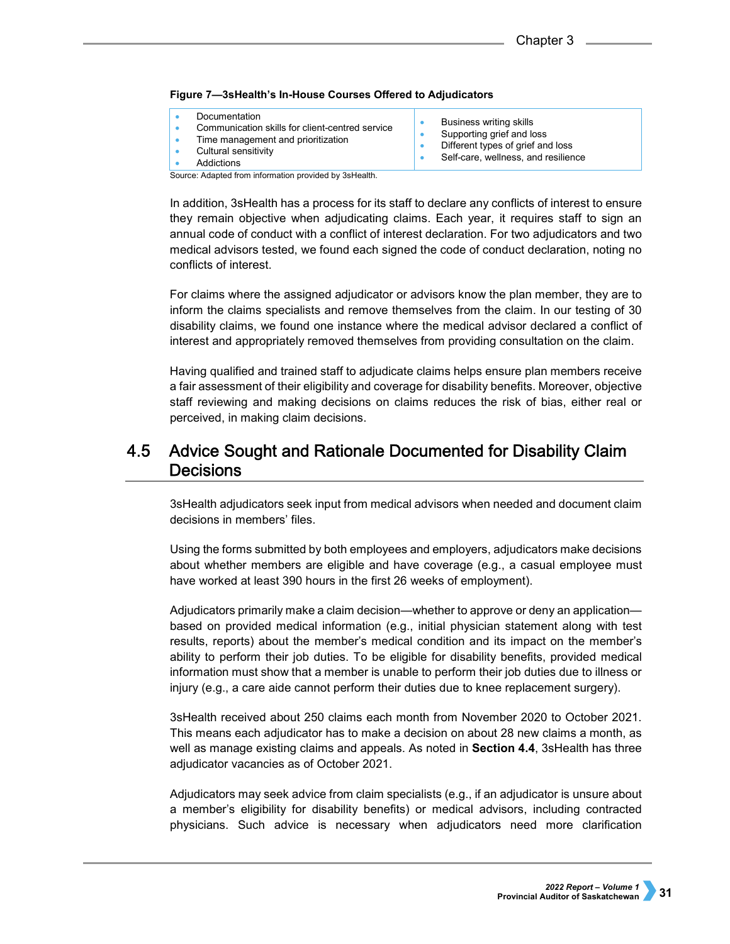|  | Figure 7-3sHealth's In-House Courses Offered to Adjudicators |
|--|--------------------------------------------------------------|
|--|--------------------------------------------------------------|

| Documentation<br>Communication skills for client-centred service<br>Time management and prioritization<br>Cultural sensitivity<br>Addictions | Business writing skills<br>Supporting grief and loss<br>Different types of grief and loss<br>Self-care, wellness, and resilience |
|----------------------------------------------------------------------------------------------------------------------------------------------|----------------------------------------------------------------------------------------------------------------------------------|
| Causar Adaptad from information provided by 2011aolth                                                                                        |                                                                                                                                  |

Source: Adapted from information provided by 3sHealth.

In addition, 3sHealth has a process for its staff to declare any conflicts of interest to ensure they remain objective when adjudicating claims. Each year, it requires staff to sign an annual code of conduct with a conflict of interest declaration. For two adjudicators and two medical advisors tested, we found each signed the code of conduct declaration, noting no conflicts of interest.

For claims where the assigned adjudicator or advisors know the plan member, they are to inform the claims specialists and remove themselves from the claim. In our testing of 30 disability claims, we found one instance where the medical advisor declared a conflict of interest and appropriately removed themselves from providing consultation on the claim.

Having qualified and trained staff to adjudicate claims helps ensure plan members receive a fair assessment of their eligibility and coverage for disability benefits. Moreover, objective staff reviewing and making decisions on claims reduces the risk of bias, either real or perceived, in making claim decisions.

### Advice Sought and Rationale Documented for Disability Claim 4.5 **Decisions**

3sHealth adjudicators seek input from medical advisors when needed and document claim decisions in members' files.

Using the forms submitted by both employees and employers, adjudicators make decisions about whether members are eligible and have coverage (e.g., a casual employee must have worked at least 390 hours in the first 26 weeks of employment).

Adjudicators primarily make a claim decision—whether to approve or deny an application based on provided medical information (e.g., initial physician statement along with test results, reports) about the member's medical condition and its impact on the member's ability to perform their job duties. To be eligible for disability benefits, provided medical information must show that a member is unable to perform their job duties due to illness or injury (e.g., a care aide cannot perform their duties due to knee replacement surgery).

3sHealth received about 250 claims each month from November 2020 to October 2021. This means each adjudicator has to make a decision on about 28 new claims a month, as well as manage existing claims and appeals. As noted in **Section 4.4**, 3sHealth has three adjudicator vacancies as of October 2021.

Adjudicators may seek advice from claim specialists (e.g., if an adjudicator is unsure about a member's eligibility for disability benefits) or medical advisors, including contracted physicians. Such advice is necessary when adjudicators need more clarification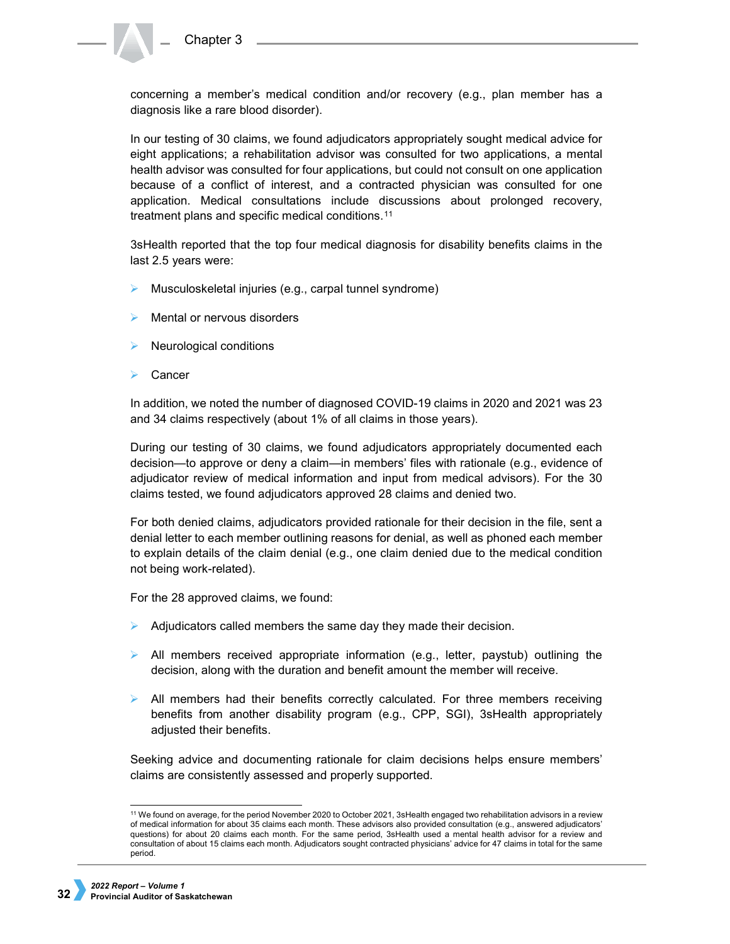concerning a member's medical condition and/or recovery (e.g., plan member has a diagnosis like a rare blood disorder).

In our testing of 30 claims, we found adjudicators appropriately sought medical advice for eight applications; a rehabilitation advisor was consulted for two applications, a mental health advisor was consulted for four applications, but could not consult on one application because of a conflict of interest, and a contracted physician was consulted for one application. Medical consultations include discussions about prolonged recovery, treatment plans and specific medical conditions.<sup>[11](#page-9-0)</sup>

3sHealth reported that the top four medical diagnosis for disability benefits claims in the last 2.5 years were:

- $\triangleright$  Musculoskeletal injuries (e.g., carpal tunnel syndrome)
- Mental or nervous disorders
- Neurological conditions
- **Cancer**

In addition, we noted the number of diagnosed COVID-19 claims in 2020 and 2021 was 23 and 34 claims respectively (about 1% of all claims in those years).

During our testing of 30 claims, we found adjudicators appropriately documented each decision—to approve or deny a claim—in members' files with rationale (e.g., evidence of adjudicator review of medical information and input from medical advisors). For the 30 claims tested, we found adjudicators approved 28 claims and denied two.

For both denied claims, adjudicators provided rationale for their decision in the file, sent a denial letter to each member outlining reasons for denial, as well as phoned each member to explain details of the claim denial (e.g., one claim denied due to the medical condition not being work-related).

For the 28 approved claims, we found:

- $\triangleright$  Adjudicators called members the same day they made their decision.
- $\triangleright$  All members received appropriate information (e.g., letter, paystub) outlining the decision, along with the duration and benefit amount the member will receive.
- $\triangleright$  All members had their benefits correctly calculated. For three members receiving benefits from another disability program (e.g., CPP, SGI), 3sHealth appropriately adjusted their benefits.

Seeking advice and documenting rationale for claim decisions helps ensure members' claims are consistently assessed and properly supported.

<span id="page-9-0"></span><sup>&</sup>lt;sup>11</sup> We found on average, for the period November 2020 to October 2021, 3sHealth engaged two rehabilitation advisors in a review of medical information for about 35 claims each month. These advisors also provided consultation (e.g., answered adjudicators' questions) for about 20 claims each month. For the same period, 3sHealth used a mental health advisor for a review and consultation of about 15 claims each month. Adjudicators sought contracted physicians' advice for 47 claims in total for the same period.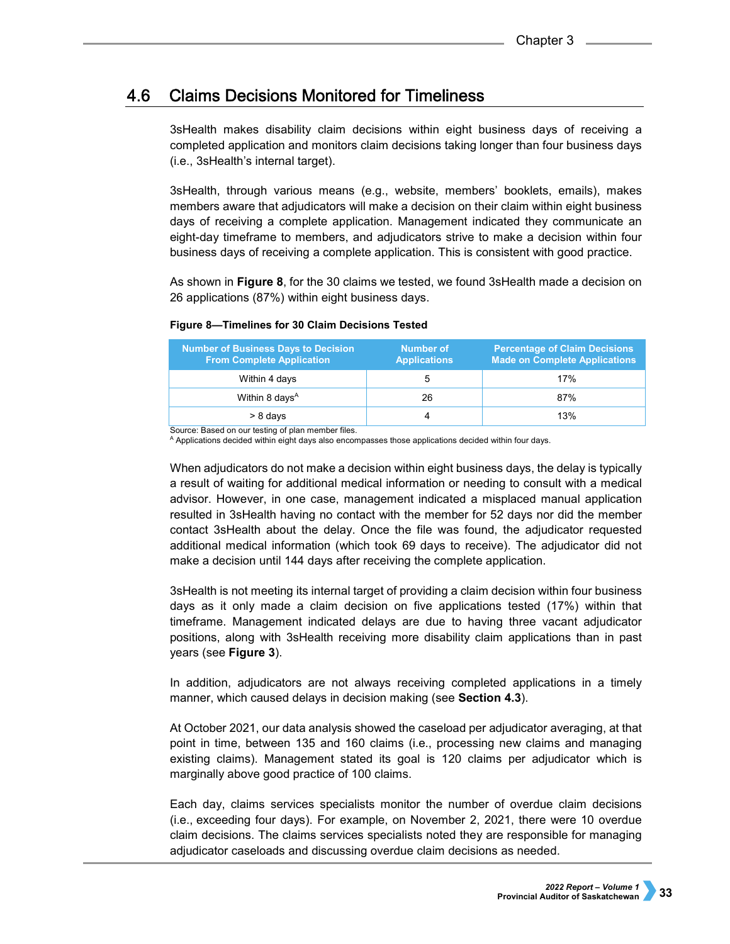#### **Claims Decisions Monitored for Timeliness** 4.6

3sHealth makes disability claim decisions within eight business days of receiving a completed application and monitors claim decisions taking longer than four business days (i.e., 3sHealth's internal target).

3sHealth, through various means (e.g., website, members' booklets, emails), makes members aware that adjudicators will make a decision on their claim within eight business days of receiving a complete application. Management indicated they communicate an eight-day timeframe to members, and adjudicators strive to make a decision within four business days of receiving a complete application. This is consistent with good practice.

As shown in **Figure 8**, for the 30 claims we tested, we found 3sHealth made a decision on 26 applications (87%) within eight business days.

## **Figure 8—Timelines for 30 Claim Decisions Tested**

| <b>Number of Business Days to Decision</b><br><b>From Complete Application</b> | <b>Number of</b><br><b>Applications</b> | <b>Percentage of Claim Decisions</b><br><b>Made on Complete Applications</b> |
|--------------------------------------------------------------------------------|-----------------------------------------|------------------------------------------------------------------------------|
| Within 4 days                                                                  |                                         | 17%                                                                          |
| Within 8 days <sup>A</sup>                                                     | 26                                      | 87%                                                                          |
| > 8 days                                                                       |                                         | 13%                                                                          |

Source: Based on our testing of plan member files.

<sup>A</sup> Applications decided within eight days also encompasses those applications decided within four days.

When adjudicators do not make a decision within eight business days, the delay is typically a result of waiting for additional medical information or needing to consult with a medical advisor. However, in one case, management indicated a misplaced manual application resulted in 3sHealth having no contact with the member for 52 days nor did the member contact 3sHealth about the delay. Once the file was found, the adjudicator requested additional medical information (which took 69 days to receive). The adjudicator did not make a decision until 144 days after receiving the complete application.

3sHealth is not meeting its internal target of providing a claim decision within four business days as it only made a claim decision on five applications tested (17%) within that timeframe. Management indicated delays are due to having three vacant adjudicator positions, along with 3sHealth receiving more disability claim applications than in past years (see **Figure 3**).

In addition, adjudicators are not always receiving completed applications in a timely manner, which caused delays in decision making (see **Section 4.3**).

At October 2021, our data analysis showed the caseload per adjudicator averaging, at that point in time, between 135 and 160 claims (i.e., processing new claims and managing existing claims). Management stated its goal is 120 claims per adjudicator which is marginally above good practice of 100 claims.

Each day, claims services specialists monitor the number of overdue claim decisions (i.e., exceeding four days). For example, on November 2, 2021, there were 10 overdue claim decisions. The claims services specialists noted they are responsible for managing adjudicator caseloads and discussing overdue claim decisions as needed.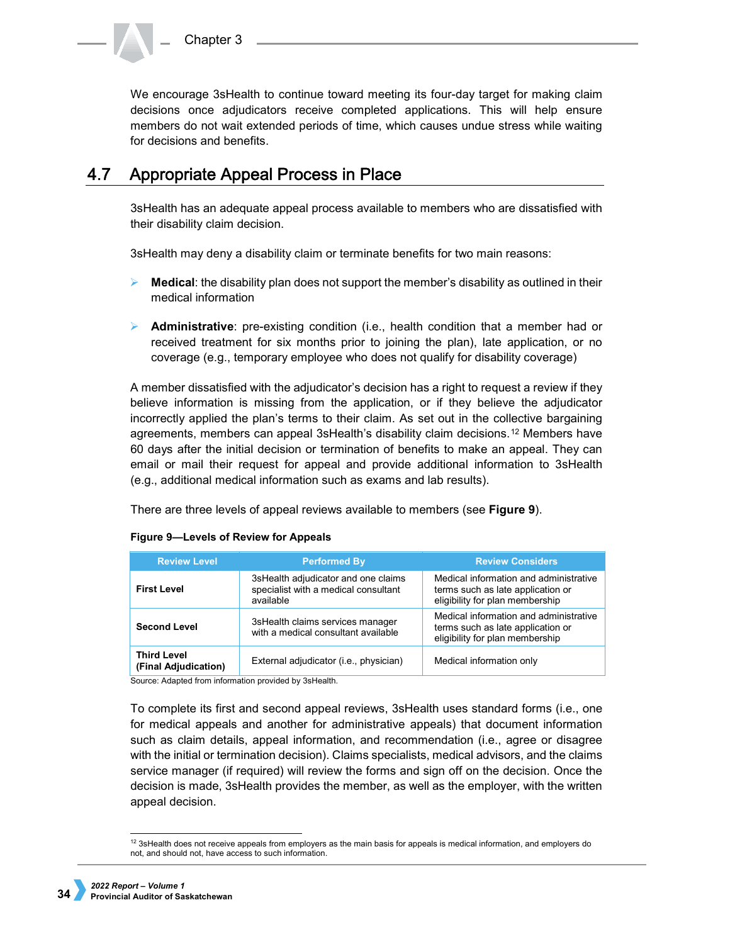We encourage 3sHealth to continue toward meeting its four-day target for making claim decisions once adjudicators receive completed applications. This will help ensure members do not wait extended periods of time, which causes undue stress while waiting for decisions and benefits.

#### **Appropriate Appeal Process in Place**  $4.7$

3sHealth has an adequate appeal process available to members who are dissatisfied with their disability claim decision.

3sHealth may deny a disability claim or terminate benefits for two main reasons:

- **EXECT** Medical: the disability plan does not support the member's disability as outlined in their medical information
- **Administrative**: pre-existing condition (i.e., health condition that a member had or received treatment for six months prior to joining the plan), late application, or no coverage (e.g., temporary employee who does not qualify for disability coverage)

A member dissatisfied with the adjudicator's decision has a right to request a review if they believe information is missing from the application, or if they believe the adjudicator incorrectly applied the plan's terms to their claim. As set out in the collective bargaining agreements, members can appeal 3sHealth's disability claim decisions.[12](#page-11-0) Members have 60 days after the initial decision or termination of benefits to make an appeal. They can email or mail their request for appeal and provide additional information to 3sHealth (e.g., additional medical information such as exams and lab results).

There are three levels of appeal reviews available to members (see **Figure 9**).

| <b>Review Level</b>                        | <b>Performed By</b>                                                                      | <b>Review Considers</b>                                                                                        |
|--------------------------------------------|------------------------------------------------------------------------------------------|----------------------------------------------------------------------------------------------------------------|
| <b>First Level</b>                         | 3sHealth adjudicator and one claims<br>specialist with a medical consultant<br>available | Medical information and administrative<br>terms such as late application or<br>eligibility for plan membership |
| <b>Second Level</b>                        | 3sHealth claims services manager<br>with a medical consultant available                  | Medical information and administrative<br>terms such as late application or<br>eligibility for plan membership |
| <b>Third Level</b><br>(Final Adjudication) | External adjudicator (i.e., physician)                                                   | Medical information only                                                                                       |

### **Figure 9—Levels of Review for Appeals**

Source: Adapted from information provided by 3sHealth.

To complete its first and second appeal reviews, 3sHealth uses standard forms (i.e., one for medical appeals and another for administrative appeals) that document information such as claim details, appeal information, and recommendation (i.e., agree or disagree with the initial or termination decision). Claims specialists, medical advisors, and the claims service manager (if required) will review the forms and sign off on the decision. Once the decision is made, 3sHealth provides the member, as well as the employer, with the written appeal decision.

<span id="page-11-0"></span> <sup>12</sup> 3sHealth does not receive appeals from employers as the main basis for appeals is medical information, and employers do not, and should not, have access to such information.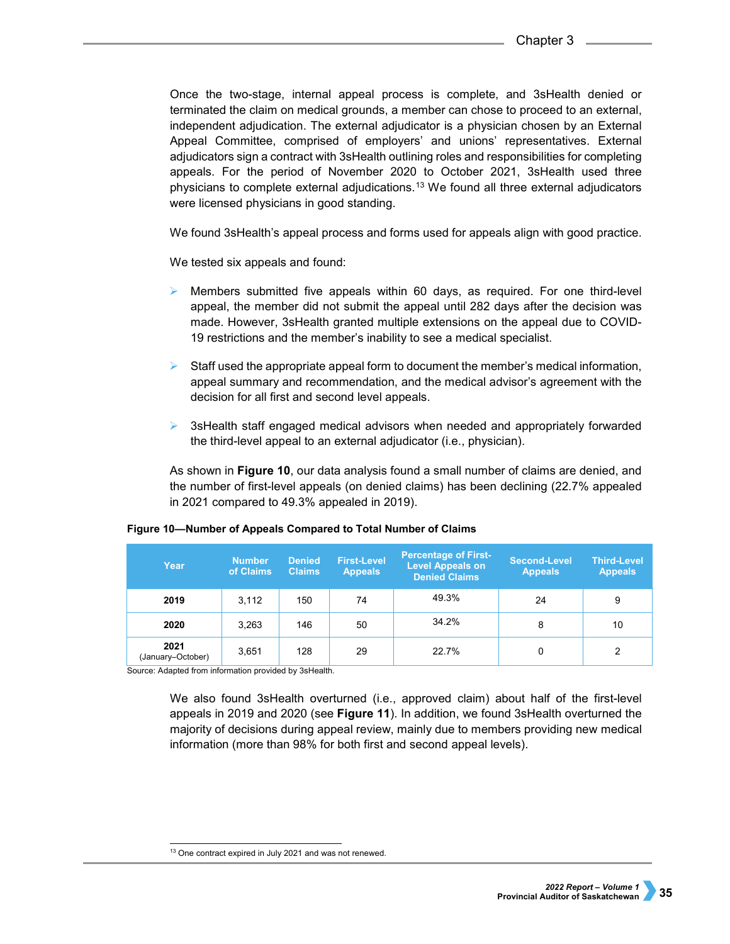Once the two-stage, internal appeal process is complete, and 3sHealth denied or terminated the claim on medical grounds, a member can chose to proceed to an external, independent adjudication. The external adjudicator is a physician chosen by an External Appeal Committee, comprised of employers' and unions' representatives. External adjudicators sign a contract with 3sHealth outlining roles and responsibilities for completing appeals. For the period of November 2020 to October 2021, 3sHealth used three physicians to complete external adjudications.[13](#page-12-0) We found all three external adjudicators were licensed physicians in good standing.

We found 3sHealth's appeal process and forms used for appeals align with good practice.

We tested six appeals and found:

- Members submitted five appeals within 60 days, as required. For one third-level appeal, the member did not submit the appeal until 282 days after the decision was made. However, 3sHealth granted multiple extensions on the appeal due to COVID-19 restrictions and the member's inability to see a medical specialist.
- Staff used the appropriate appeal form to document the member's medical information, appeal summary and recommendation, and the medical advisor's agreement with the decision for all first and second level appeals.
- $\triangleright$  3sHealth staff engaged medical advisors when needed and appropriately forwarded the third-level appeal to an external adjudicator (i.e., physician).

As shown in **Figure 10**, our data analysis found a small number of claims are denied, and the number of first-level appeals (on denied claims) has been declining (22.7% appealed in 2021 compared to 49.3% appealed in 2019).

| Year                           | <b>Number</b><br>of Claims | <b>Denied</b><br><b>Claims</b> | <b>First-Level</b><br><b>Appeals</b> | <b>Percentage of First-</b><br><b>Level Appeals on</b><br><b>Denied Claims</b> | <b>Second-Level</b><br><b>Appeals</b> | Third-Level<br><b>Appeals</b> |
|--------------------------------|----------------------------|--------------------------------|--------------------------------------|--------------------------------------------------------------------------------|---------------------------------------|-------------------------------|
| 2019                           | 3.112                      | 150                            | 74                                   | 49.3%                                                                          | 24                                    | 9                             |
| 2020                           | 3.263                      | 146                            | 50                                   | 34.2%                                                                          | 8                                     | 10                            |
| 2021<br>(January–October)<br>. | 3.651                      | 128                            | 29                                   | 22.7%                                                                          | $\Omega$                              | 2                             |

### **Figure 10—Number of Appeals Compared to Total Number of Claims**

Source: Adapted from information provided by 3sHealth.

We also found 3sHealth overturned (i.e., approved claim) about half of the first-level appeals in 2019 and 2020 (see **Figure 11**). In addition, we found 3sHealth overturned the majority of decisions during appeal review, mainly due to members providing new medical information (more than 98% for both first and second appeal levels).

<span id="page-12-0"></span> $\frac{13}{13}$  One contract expired in July 2021 and was not renewed.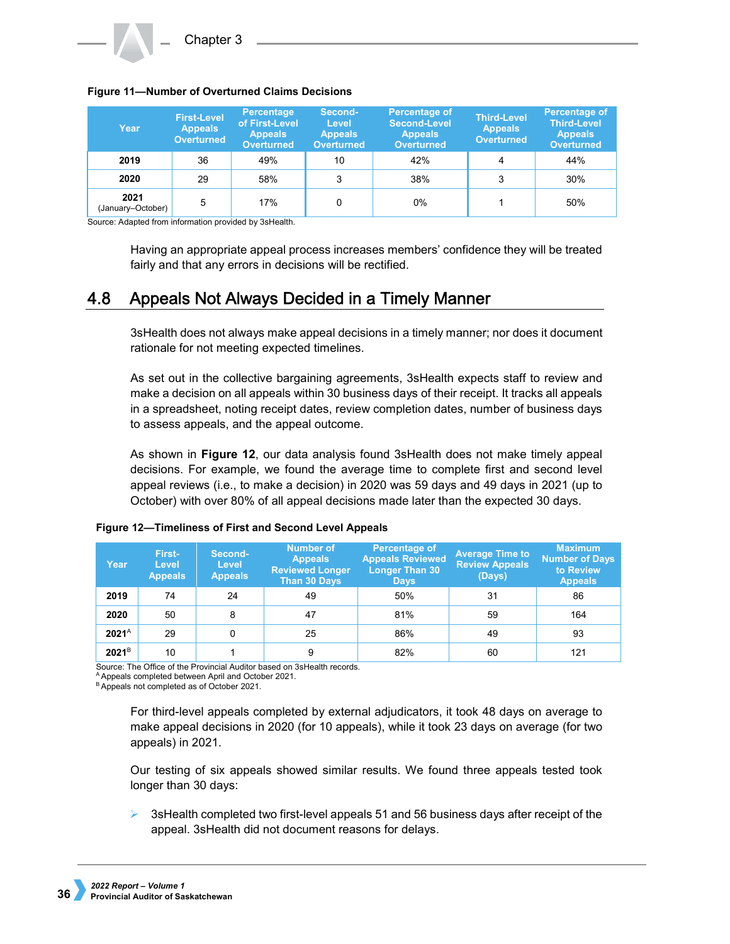

**Figure 11—Number of Overturned Claims Decisions**

| <b>I Iguit II Truilliber of Overturiled Oldinis Decisions</b> |                |                |                      |  |  |  |  |
|---------------------------------------------------------------|----------------|----------------|----------------------|--|--|--|--|
| First-Level                                                   | Percentage     | <b>Second-</b> | <b>Percentage of</b> |  |  |  |  |
|                                                               | of Firet Lovel | <b>Lough</b>   | Scenard Lough        |  |  |  |  |

| Year                      | <b>First-Level</b><br><b>Appeals</b><br><b>Overturned</b> | <b>Percentage</b><br>of First-Level<br><b>Appeals</b><br><b>Overturned</b> | Second-<br>Level<br><b>Appeals</b><br><b>Overturned</b> | Percentage of<br>Second-Level<br><b>Appeals</b><br><b>Overturned</b> | <b>Third-Level</b><br><b>Appeals</b><br><b>Overturned</b> | <b>Percentage of</b><br><b>Third-Level</b><br><b>Appeals</b><br><b>Overturned</b> |
|---------------------------|-----------------------------------------------------------|----------------------------------------------------------------------------|---------------------------------------------------------|----------------------------------------------------------------------|-----------------------------------------------------------|-----------------------------------------------------------------------------------|
| 2019                      | 36                                                        | 49%                                                                        | 10                                                      | 42%                                                                  | 4                                                         | 44%                                                                               |
| 2020                      | 29                                                        | 58%                                                                        | 3                                                       | 38%                                                                  | 3                                                         | 30%                                                                               |
| 2021<br>(January-October) | 5<br>. .                                                  | 17%<br>.                                                                   |                                                         | 0%                                                                   |                                                           | 50%                                                                               |

Source: Adapted from information provided by 3sHealth.

Having an appropriate appeal process increases members' confidence they will be treated fairly and that any errors in decisions will be rectified.

#### Appeals Not Always Decided in a Timely Manner 4.8

3sHealth does not always make appeal decisions in a timely manner; nor does it document rationale for not meeting expected timelines.

As set out in the collective bargaining agreements, 3sHealth expects staff to review and make a decision on all appeals within 30 business days of their receipt. It tracks all appeals in a spreadsheet, noting receipt dates, review completion dates, number of business days to assess appeals, and the appeal outcome.

As shown in **Figure 12**, our data analysis found 3sHealth does not make timely appeal decisions. For example, we found the average time to complete first and second level appeal reviews (i.e., to make a decision) in 2020 was 59 days and 49 days in 2021 (up to October) with over 80% of all appeal decisions made later than the expected 30 days.

| Year              | First-<br>Level<br><b>Appeals</b> | Second-<br>Level<br><b>Appeals</b> | <b>Number of</b><br><b>Appeals</b><br><b>Reviewed Longer</b><br>Than 30 Days | Percentage of<br><b>Appeals Reviewed</b><br><b>Longer Than 30</b><br><b>Days</b> | <b>Average Time to</b><br><b>Review Appeals</b><br>(Days) | <b>Maximum</b><br><b>Number of Days</b><br>to Review<br><b>Appeals</b> |
|-------------------|-----------------------------------|------------------------------------|------------------------------------------------------------------------------|----------------------------------------------------------------------------------|-----------------------------------------------------------|------------------------------------------------------------------------|
| 2019              | 74                                | 24                                 | 49                                                                           | 50%                                                                              | 31                                                        | 86                                                                     |
| 2020              | 50                                | 8                                  | 47                                                                           | 81%                                                                              | 59                                                        | 164                                                                    |
| $2021^A$          | 29                                |                                    | 25                                                                           | 86%                                                                              | 49                                                        | 93                                                                     |
| 2021 <sup>B</sup> | 10                                |                                    | 9                                                                            | 82%                                                                              | 60                                                        | 121                                                                    |

### **Figure 12—Timeliness of First and Second Level Appeals**

Source: The Office of the Provincial Auditor based on 3sHealth records.

 $A$  Appeals completed between April and October 2021.<br> $B$  Appeals not completed as of October 2021.

For third-level appeals completed by external adjudicators, it took 48 days on average to make appeal decisions in 2020 (for 10 appeals), while it took 23 days on average (for two appeals) in 2021.

Our testing of six appeals showed similar results. We found three appeals tested took longer than 30 days:

 $\triangleright$  3sHealth completed two first-level appeals 51 and 56 business days after receipt of the appeal. 3sHealth did not document reasons for delays.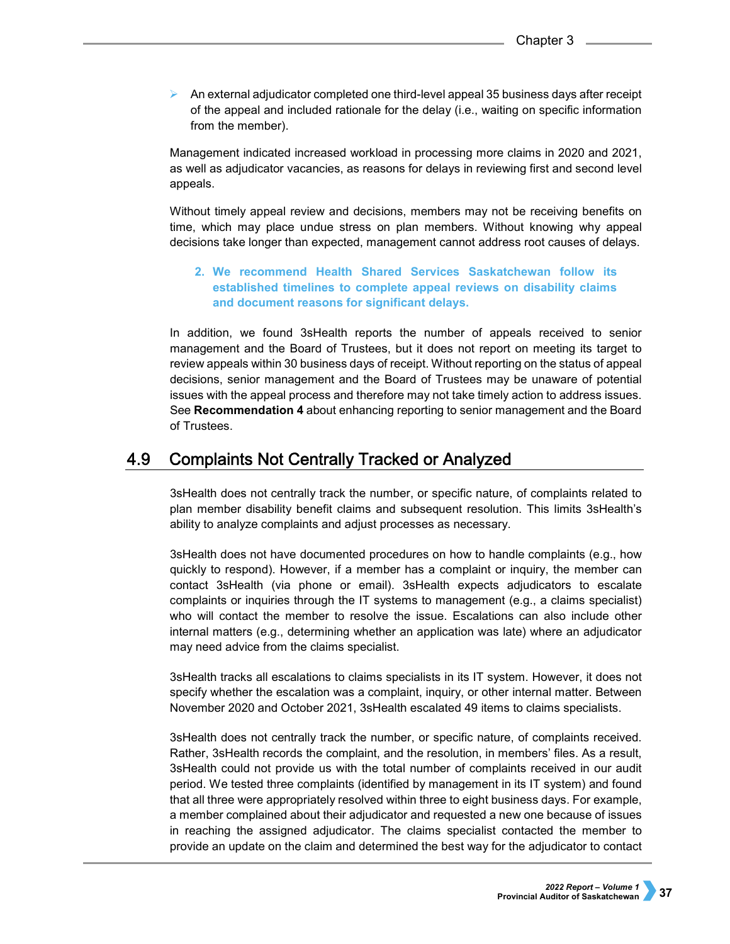$\triangleright$  An external adjudicator completed one third-level appeal 35 business days after receipt of the appeal and included rationale for the delay (i.e., waiting on specific information from the member).

Management indicated increased workload in processing more claims in 2020 and 2021, as well as adjudicator vacancies, as reasons for delays in reviewing first and second level appeals.

Without timely appeal review and decisions, members may not be receiving benefits on time, which may place undue stress on plan members. Without knowing why appeal decisions take longer than expected, management cannot address root causes of delays.

## **2. We recommend Health Shared Services Saskatchewan follow its established timelines to complete appeal reviews on disability claims and document reasons for significant delays.**

In addition, we found 3sHealth reports the number of appeals received to senior management and the Board of Trustees, but it does not report on meeting its target to review appeals within 30 business days of receipt. Without reporting on the status of appeal decisions, senior management and the Board of Trustees may be unaware of potential issues with the appeal process and therefore may not take timely action to address issues. See **Recommendation 4** about enhancing reporting to senior management and the Board of Trustees.

#### 4.9 **Complaints Not Centrally Tracked or Analyzed**

3sHealth does not centrally track the number, or specific nature, of complaints related to plan member disability benefit claims and subsequent resolution. This limits 3sHealth's ability to analyze complaints and adjust processes as necessary.

3sHealth does not have documented procedures on how to handle complaints (e.g., how quickly to respond). However, if a member has a complaint or inquiry, the member can contact 3sHealth (via phone or email). 3sHealth expects adjudicators to escalate complaints or inquiries through the IT systems to management (e.g., a claims specialist) who will contact the member to resolve the issue. Escalations can also include other internal matters (e.g., determining whether an application was late) where an adjudicator may need advice from the claims specialist.

3sHealth tracks all escalations to claims specialists in its IT system. However, it does not specify whether the escalation was a complaint, inquiry, or other internal matter. Between November 2020 and October 2021, 3sHealth escalated 49 items to claims specialists.

3sHealth does not centrally track the number, or specific nature, of complaints received. Rather, 3sHealth records the complaint, and the resolution, in members' files. As a result, 3sHealth could not provide us with the total number of complaints received in our audit period. We tested three complaints (identified by management in its IT system) and found that all three were appropriately resolved within three to eight business days. For example, a member complained about their adjudicator and requested a new one because of issues in reaching the assigned adjudicator. The claims specialist contacted the member to provide an update on the claim and determined the best way for the adjudicator to contact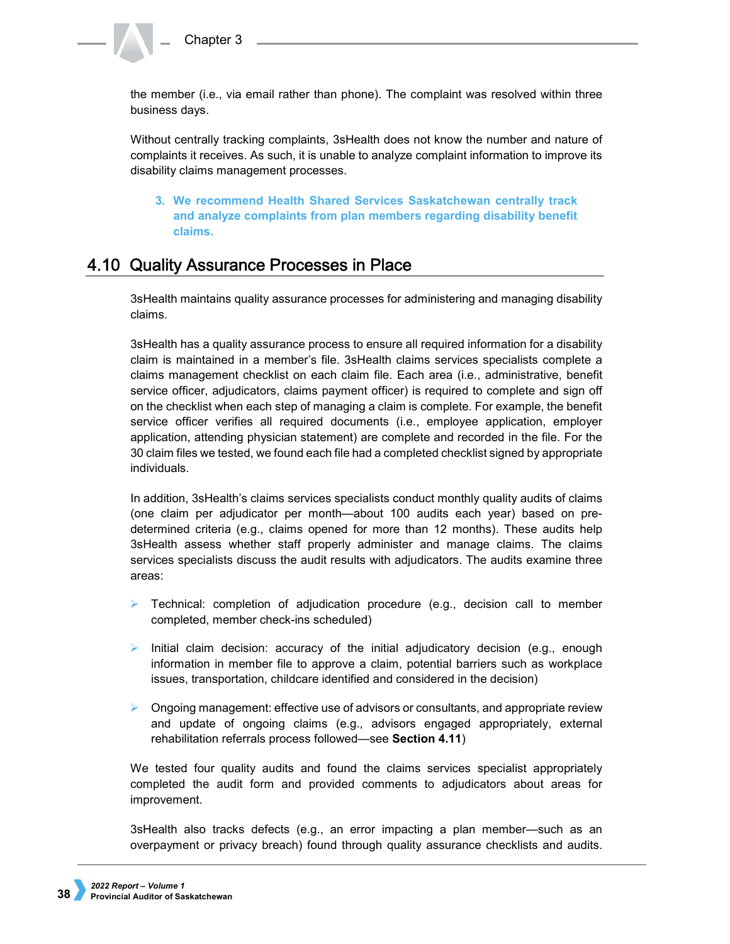the member (i.e., via email rather than phone). The complaint was resolved within three business days.

Without centrally tracking complaints, 3sHealth does not know the number and nature of complaints it receives. As such, it is unable to analyze complaint information to improve its disability claims management processes.

**3. We recommend Health Shared Services Saskatchewan centrally track and analyze complaints from plan members regarding disability benefit claims.**

# 4.10 Quality Assurance Processes in Place

3sHealth maintains quality assurance processes for administering and managing disability claims.

3sHealth has a quality assurance process to ensure all required information for a disability claim is maintained in a member's file. 3sHealth claims services specialists complete a claims management checklist on each claim file. Each area (i.e., administrative, benefit service officer, adjudicators, claims payment officer) is required to complete and sign off on the checklist when each step of managing a claim is complete. For example, the benefit service officer verifies all required documents (i.e., employee application, employer application, attending physician statement) are complete and recorded in the file. For the 30 claim files we tested, we found each file had a completed checklist signed by appropriate individuals.

In addition, 3sHealth's claims services specialists conduct monthly quality audits of claims (one claim per adjudicator per month—about 100 audits each year) based on predetermined criteria (e.g., claims opened for more than 12 months). These audits help 3sHealth assess whether staff properly administer and manage claims. The claims services specialists discuss the audit results with adjudicators. The audits examine three areas:

- $\triangleright$  Technical: completion of adjudication procedure (e.g., decision call to member completed, member check-ins scheduled)
- Initial claim decision: accuracy of the initial adjudicatory decision (e.g., enough information in member file to approve a claim, potential barriers such as workplace issues, transportation, childcare identified and considered in the decision)
- $\triangleright$  Ongoing management: effective use of advisors or consultants, and appropriate review and update of ongoing claims (e.g., advisors engaged appropriately, external rehabilitation referrals process followed—see **Section 4.11**)

We tested four quality audits and found the claims services specialist appropriately completed the audit form and provided comments to adjudicators about areas for improvement.

3sHealth also tracks defects (e.g., an error impacting a plan member—such as an overpayment or privacy breach) found through quality assurance checklists and audits.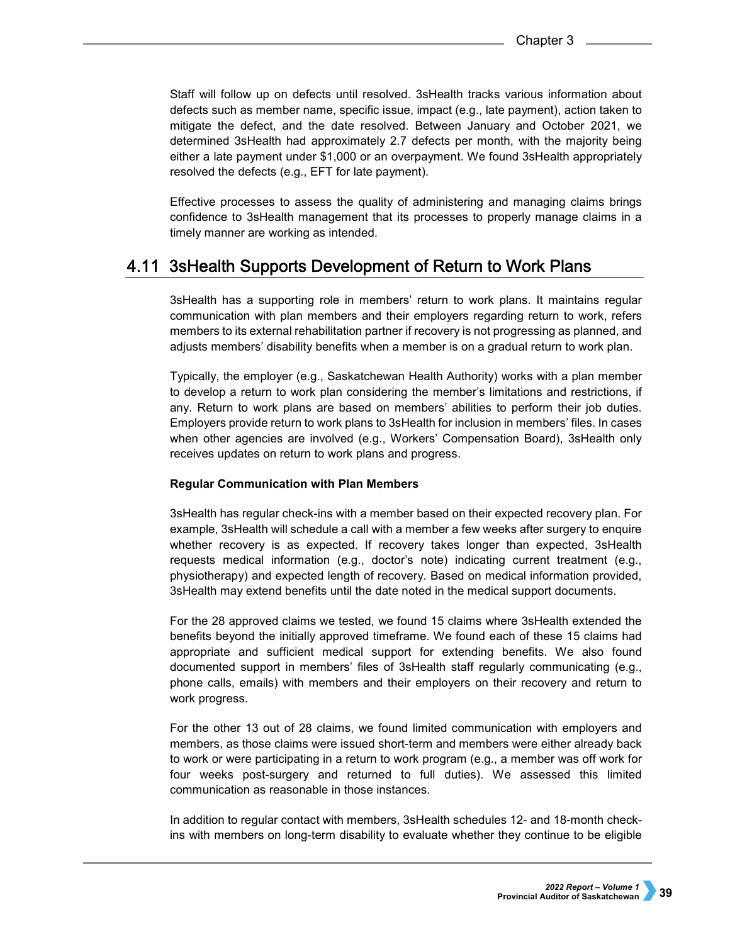Staff will follow up on defects until resolved. 3sHealth tracks various information about defects such as member name, specific issue, impact (e.g., late payment), action taken to mitigate the defect, and the date resolved. Between January and October 2021, we determined 3sHealth had approximately 2.7 defects per month, with the majority being either a late payment under \$1,000 or an overpayment. We found 3sHealth appropriately resolved the defects (e.g., EFT for late payment).

Effective processes to assess the quality of administering and managing claims brings confidence to 3sHealth management that its processes to properly manage claims in a timely manner are working as intended.

## 4.11 3sHealth Supports Development of Return to Work Plans

3sHealth has a supporting role in members' return to work plans. It maintains regular communication with plan members and their employers regarding return to work, refers members to its external rehabilitation partner if recovery is not progressing as planned, and adjusts members' disability benefits when a member is on a gradual return to work plan.

Typically, the employer (e.g., Saskatchewan Health Authority) works with a plan member to develop a return to work plan considering the member's limitations and restrictions, if any. Return to work plans are based on members' abilities to perform their job duties. Employers provide return to work plans to 3sHealth for inclusion in members' files. In cases when other agencies are involved (e.g., Workers' Compensation Board), 3sHealth only receives updates on return to work plans and progress.

### **Regular Communication with Plan Members**

3sHealth has regular check-ins with a member based on their expected recovery plan. For example, 3sHealth will schedule a call with a member a few weeks after surgery to enquire whether recovery is as expected. If recovery takes longer than expected, 3sHealth requests medical information (e.g., doctor's note) indicating current treatment (e.g., physiotherapy) and expected length of recovery. Based on medical information provided, 3sHealth may extend benefits until the date noted in the medical support documents.

For the 28 approved claims we tested, we found 15 claims where 3sHealth extended the benefits beyond the initially approved timeframe. We found each of these 15 claims had appropriate and sufficient medical support for extending benefits. We also found documented support in members' files of 3sHealth staff regularly communicating (e.g., phone calls, emails) with members and their employers on their recovery and return to work progress.

For the other 13 out of 28 claims, we found limited communication with employers and members, as those claims were issued short-term and members were either already back to work or were participating in a return to work program (e.g., a member was off work for four weeks post-surgery and returned to full duties). We assessed this limited communication as reasonable in those instances.

In addition to regular contact with members, 3sHealth schedules 12- and 18-month checkins with members on long-term disability to evaluate whether they continue to be eligible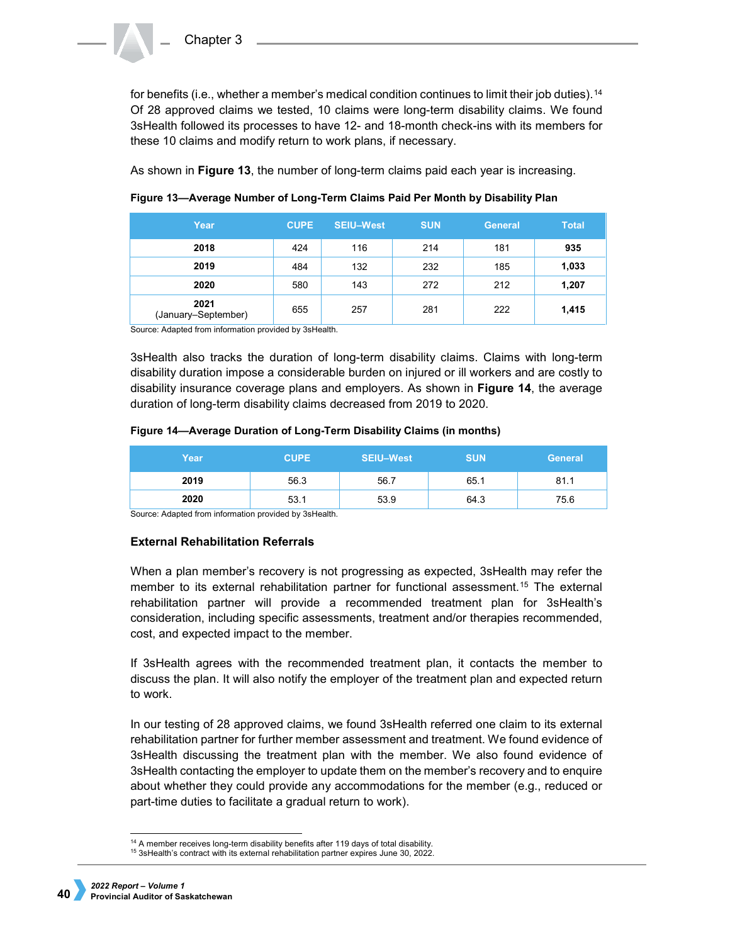for benefits (i.e., whether a member's medical condition continues to limit their job duties).[14](#page-17-0) Of 28 approved claims we tested, 10 claims were long-term disability claims. We found 3sHealth followed its processes to have 12- and 18-month check-ins with its members for these 10 claims and modify return to work plans, if necessary.

As shown in **Figure 13**, the number of long-term claims paid each year is increasing.

| Year                        | <b>CUPE</b> | <b>SEIU-West</b> | <b>SUN</b> | <b>General</b> | <b>Total</b> |
|-----------------------------|-------------|------------------|------------|----------------|--------------|
| 2018                        | 424         | 116              | 214        | 181            | 935          |
| 2019                        | 484         | 132              | 232        | 185            | 1,033        |
| 2020                        | 580         | 143              | 272        | 212            | 1,207        |
| 2021<br>(January-September) | 655         | 257              | 281        | 222            | 1,415        |

**Figure 13—Average Number of Long-Term Claims Paid Per Month by Disability Plan**

Source: Adapted from information provided by 3sHealth.

3sHealth also tracks the duration of long-term disability claims. Claims with long-term disability duration impose a considerable burden on injured or ill workers and are costly to disability insurance coverage plans and employers. As shown in **Figure 14**, the average duration of long-term disability claims decreased from 2019 to 2020.

### **Figure 14—Average Duration of Long-Term Disability Claims (in months)**

| Year                                        | <b>CUPE</b> | <b>SEIU-West</b> | <b>SUN</b> | <b>General</b> |
|---------------------------------------------|-------------|------------------|------------|----------------|
| 2019                                        | 56.3        | 56.7             | 65.1       | 81.1           |
| 2020<br>.<br>$\sim$ $\sim$<br>. .<br>$\sim$ | 53.1<br>.   | 53.9             | 64.3       | 75.6           |

Source: Adapted from information provided by 3sHealth.

## **External Rehabilitation Referrals**

When a plan member's recovery is not progressing as expected, 3sHealth may refer the member to its external rehabilitation partner for functional assessment.[15](#page-17-1) The external rehabilitation partner will provide a recommended treatment plan for 3sHealth's consideration, including specific assessments, treatment and/or therapies recommended, cost, and expected impact to the member.

If 3sHealth agrees with the recommended treatment plan, it contacts the member to discuss the plan. It will also notify the employer of the treatment plan and expected return to work.

In our testing of 28 approved claims, we found 3sHealth referred one claim to its external rehabilitation partner for further member assessment and treatment. We found evidence of 3sHealth discussing the treatment plan with the member. We also found evidence of 3sHealth contacting the employer to update them on the member's recovery and to enquire about whether they could provide any accommodations for the member (e.g., reduced or part-time duties to facilitate a gradual return to work).

 <sup>14</sup> A member receives long-term disability benefits after 119 days of total disability.

<span id="page-17-1"></span><span id="page-17-0"></span><sup>15</sup> 3sHealth's contract with its external rehabilitation partner expires June 30, 2022.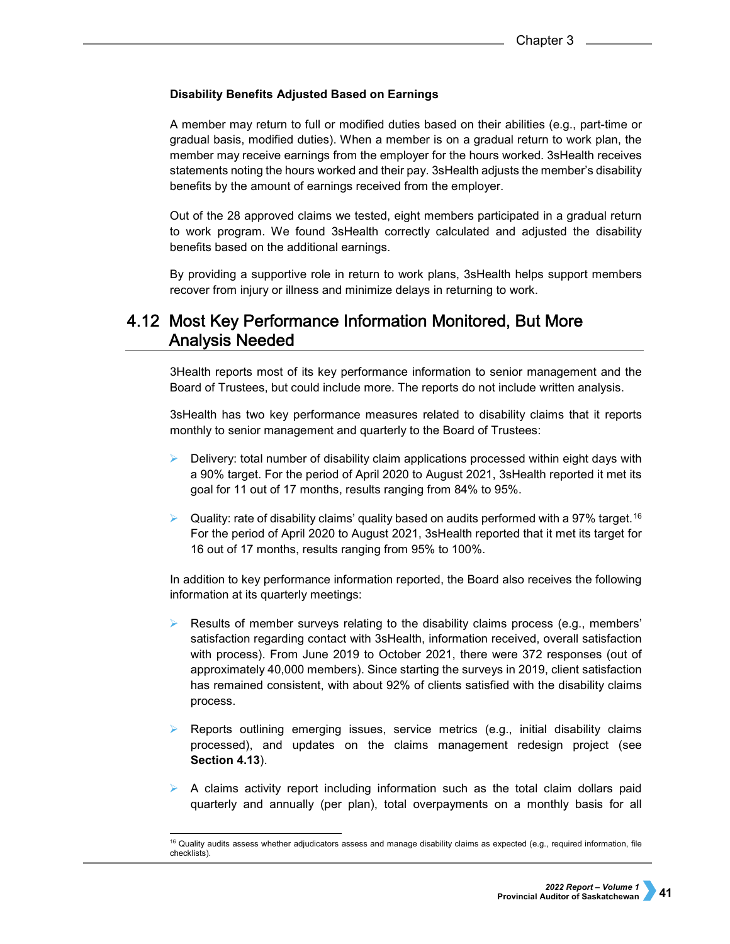## **Disability Benefits Adjusted Based on Earnings**

A member may return to full or modified duties based on their abilities (e.g., part-time or gradual basis, modified duties). When a member is on a gradual return to work plan, the member may receive earnings from the employer for the hours worked. 3sHealth receives statements noting the hours worked and their pay. 3sHealth adjusts the member's disability benefits by the amount of earnings received from the employer.

Out of the 28 approved claims we tested, eight members participated in a gradual return to work program. We found 3sHealth correctly calculated and adjusted the disability benefits based on the additional earnings.

By providing a supportive role in return to work plans, 3sHealth helps support members recover from injury or illness and minimize delays in returning to work.

# 4.12 Most Key Performance Information Monitored, But More **Analysis Needed**

3Health reports most of its key performance information to senior management and the Board of Trustees, but could include more. The reports do not include written analysis.

3sHealth has two key performance measures related to disability claims that it reports monthly to senior management and quarterly to the Board of Trustees:

- $\triangleright$  Delivery: total number of disability claim applications processed within eight days with a 90% target. For the period of April 2020 to August 2021, 3sHealth reported it met its goal for 11 out of 17 months, results ranging from 84% to 95%.
- $\triangleright$  Quality: rate of disability claims' quality based on audits performed with a 97% target.<sup>[16](#page-18-0)</sup> For the period of April 2020 to August 2021, 3sHealth reported that it met its target for 16 out of 17 months, results ranging from 95% to 100%.

In addition to key performance information reported, the Board also receives the following information at its quarterly meetings:

- Results of member surveys relating to the disability claims process (e.g., members' satisfaction regarding contact with 3sHealth, information received, overall satisfaction with process). From June 2019 to October 2021, there were 372 responses (out of approximately 40,000 members). Since starting the surveys in 2019, client satisfaction has remained consistent, with about 92% of clients satisfied with the disability claims process.
- Reports outlining emerging issues, service metrics (e.g., initial disability claims processed), and updates on the claims management redesign project (see **Section 4.13**).
- $\triangleright$  A claims activity report including information such as the total claim dollars paid quarterly and annually (per plan), total overpayments on a monthly basis for all

<span id="page-18-0"></span> <sup>16</sup> Quality audits assess whether adjudicators assess and manage disability claims as expected (e.g., required information, file checklists).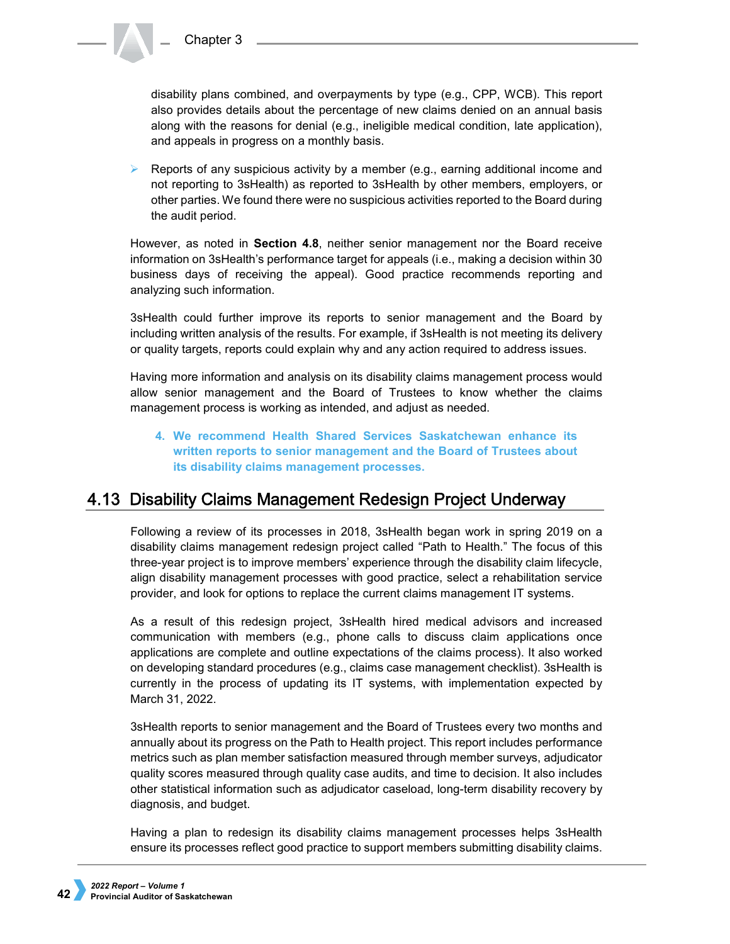disability plans combined, and overpayments by type (e.g., CPP, WCB). This report also provides details about the percentage of new claims denied on an annual basis along with the reasons for denial (e.g., ineligible medical condition, late application), and appeals in progress on a monthly basis.

Reports of any suspicious activity by a member (e.g., earning additional income and not reporting to 3sHealth) as reported to 3sHealth by other members, employers, or other parties. We found there were no suspicious activities reported to the Board during the audit period.

However, as noted in **Section 4.8**, neither senior management nor the Board receive information on 3sHealth's performance target for appeals (i.e., making a decision within 30 business days of receiving the appeal). Good practice recommends reporting and analyzing such information.

3sHealth could further improve its reports to senior management and the Board by including written analysis of the results. For example, if 3sHealth is not meeting its delivery or quality targets, reports could explain why and any action required to address issues.

Having more information and analysis on its disability claims management process would allow senior management and the Board of Trustees to know whether the claims management process is working as intended, and adjust as needed.

**4. We recommend Health Shared Services Saskatchewan enhance its written reports to senior management and the Board of Trustees about its disability claims management processes.** 

# 4.13 Disability Claims Management Redesign Project Underway

Following a review of its processes in 2018, 3sHealth began work in spring 2019 on a disability claims management redesign project called "Path to Health." The focus of this three-year project is to improve members' experience through the disability claim lifecycle, align disability management processes with good practice, select a rehabilitation service provider, and look for options to replace the current claims management IT systems.

As a result of this redesign project, 3sHealth hired medical advisors and increased communication with members (e.g., phone calls to discuss claim applications once applications are complete and outline expectations of the claims process). It also worked on developing standard procedures (e.g., claims case management checklist). 3sHealth is currently in the process of updating its IT systems, with implementation expected by March 31, 2022.

3sHealth reports to senior management and the Board of Trustees every two months and annually about its progress on the Path to Health project. This report includes performance metrics such as plan member satisfaction measured through member surveys, adjudicator quality scores measured through quality case audits, and time to decision. It also includes other statistical information such as adjudicator caseload, long-term disability recovery by diagnosis, and budget.

Having a plan to redesign its disability claims management processes helps 3sHealth ensure its processes reflect good practice to support members submitting disability claims.